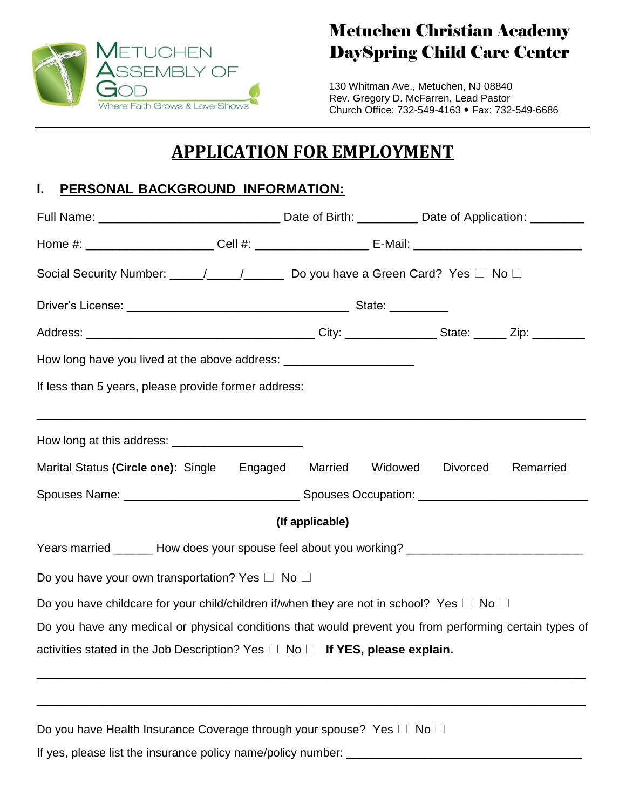

# Metuchen Christian Academy DaySpring Child Care Center

130 Whitman Ave., Metuchen, NJ 08840 Rev. Gregory D. McFarren, Lead Pastor Church Office: 732-549-4163 Fax: 732-549-6686

# **APPLICATION FOR EMPLOYMENT**

## **I. PERSONAL BACKGROUND INFORMATION:**

| Social Security Number: ____/____/______ Do you have a Green Card? Yes □ No □                          |                 |  |           |
|--------------------------------------------------------------------------------------------------------|-----------------|--|-----------|
|                                                                                                        |                 |  |           |
|                                                                                                        |                 |  |           |
| How long have you lived at the above address: __________________________________                       |                 |  |           |
| If less than 5 years, please provide former address:                                                   |                 |  |           |
| ,我们也不能在这里的人,我们也不能在这里的人,我们也不能在这里的人,我们也不能在这里的人,我们也不能在这里的人,我们也不能在这里的人,我们也不能在这里的人,我们也                      |                 |  |           |
| Marital Status (Circle one): Single Engaged Married Widowed Divorced                                   |                 |  | Remarried |
|                                                                                                        |                 |  |           |
|                                                                                                        | (If applicable) |  |           |
| Years married _______ How does your spouse feel about you working? ________________________________    |                 |  |           |
| Do you have your own transportation? Yes $\square$ No $\square$                                        |                 |  |           |
| Do you have childcare for your child/children if/when they are not in school? Yes $\Box$ No $\Box$     |                 |  |           |
| Do you have any medical or physical conditions that would prevent you from performing certain types of |                 |  |           |
| activities stated in the Job Description? Yes $\Box$ No $\Box$ If YES, please explain.                 |                 |  |           |
|                                                                                                        |                 |  |           |
| Do you have Health Insurance Coverage through your spouse? Yes □ No □                                  |                 |  |           |
| If yes, please list the insurance policy name/policy number:                                           |                 |  |           |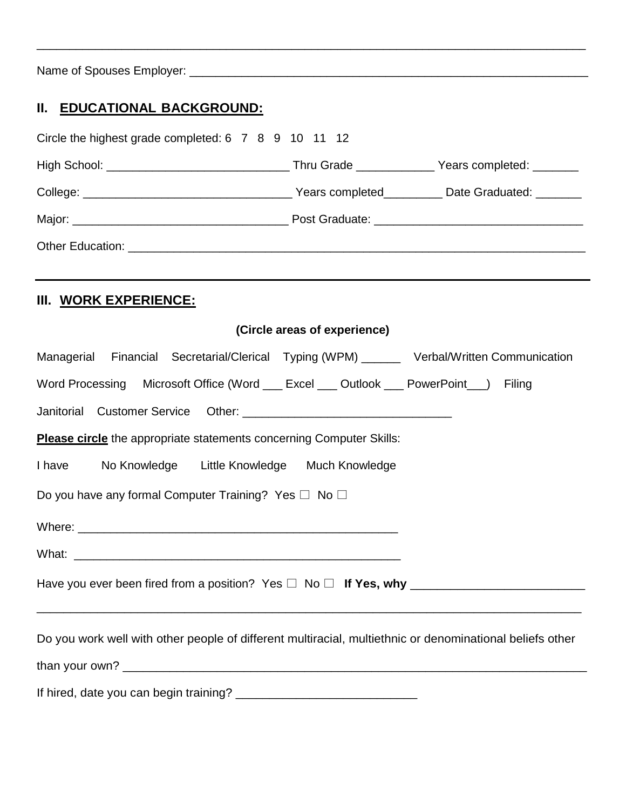Name of Spouses Employer: \_\_\_\_\_\_\_\_\_\_\_\_\_\_\_\_\_\_\_\_\_\_\_\_\_\_\_\_\_\_\_\_\_\_\_\_\_\_\_\_\_\_\_\_\_\_\_\_\_\_\_\_\_\_\_\_\_\_\_\_\_

# **II. EDUCATIONAL BACKGROUND:**

| Circle the highest grade completed: 6 7 8 9 10 11 12                                                     |                              |  |
|----------------------------------------------------------------------------------------------------------|------------------------------|--|
|                                                                                                          |                              |  |
|                                                                                                          |                              |  |
|                                                                                                          |                              |  |
|                                                                                                          |                              |  |
| III. WORK EXPERIENCE:                                                                                    |                              |  |
|                                                                                                          | (Circle areas of experience) |  |
| Managerial Financial Secretarial/Clerical Typing (WPM) ______ Verbal/Written Communication               |                              |  |
| Word Processing Microsoft Office (Word __ Excel __ Outlook __ PowerPoint __) Filing                      |                              |  |
|                                                                                                          |                              |  |
| <b>Please circle</b> the appropriate statements concerning Computer Skills:                              |                              |  |
| I have No Knowledge Little Knowledge Much Knowledge                                                      |                              |  |
| Do you have any formal Computer Training? Yes $\Box$ No $\Box$                                           |                              |  |
|                                                                                                          |                              |  |
|                                                                                                          |                              |  |
| Have you ever been fired from a position? Yes $\square$ No $\square$ If Yes, why $\square$               |                              |  |
| Do you work well with other people of different multiracial, multiethnic or denominational beliefs other |                              |  |
|                                                                                                          |                              |  |
|                                                                                                          |                              |  |

\_\_\_\_\_\_\_\_\_\_\_\_\_\_\_\_\_\_\_\_\_\_\_\_\_\_\_\_\_\_\_\_\_\_\_\_\_\_\_\_\_\_\_\_\_\_\_\_\_\_\_\_\_\_\_\_\_\_\_\_\_\_\_\_\_\_\_\_\_\_\_\_\_\_\_\_\_\_\_\_\_\_\_\_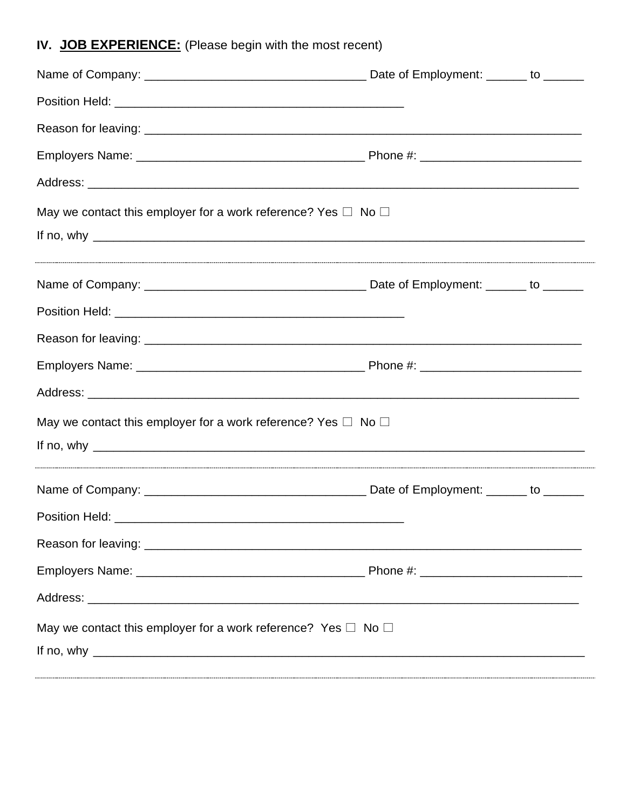# IV. JOB EXPERIENCE: (Please begin with the most recent)

| May we contact this employer for a work reference? Yes $\Box$ No $\Box$                                        |  |
|----------------------------------------------------------------------------------------------------------------|--|
|                                                                                                                |  |
|                                                                                                                |  |
|                                                                                                                |  |
|                                                                                                                |  |
|                                                                                                                |  |
| May we contact this employer for a work reference? Yes $\Box$ No $\Box$<br>If no, why $\overline{\phantom{a}}$ |  |
|                                                                                                                |  |
|                                                                                                                |  |
|                                                                                                                |  |
|                                                                                                                |  |
|                                                                                                                |  |
| May we contact this employer for a work reference? Yes $\Box$ No $\Box$<br>If no, why $\overline{\phantom{a}}$ |  |
|                                                                                                                |  |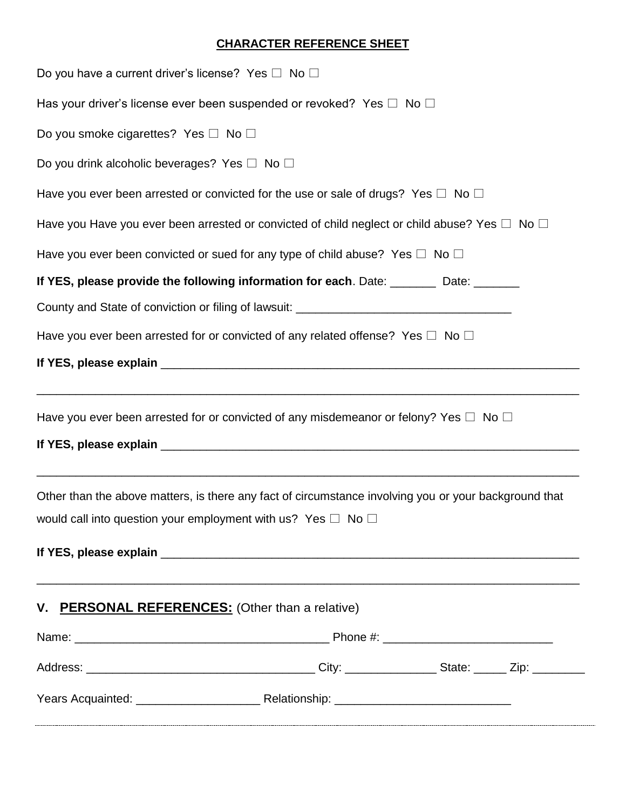### **CHARACTER REFERENCE SHEET**

| Do you have a current driver's license? Yes $\square$ No $\square$                                                                                                                                                                                                                                                                                                                                                     |  |  |
|------------------------------------------------------------------------------------------------------------------------------------------------------------------------------------------------------------------------------------------------------------------------------------------------------------------------------------------------------------------------------------------------------------------------|--|--|
| Has your driver's license ever been suspended or revoked? Yes $\Box$ No $\Box$                                                                                                                                                                                                                                                                                                                                         |  |  |
| Do you smoke cigarettes? Yes $\square$ No $\square$                                                                                                                                                                                                                                                                                                                                                                    |  |  |
| Do you drink alcoholic beverages? Yes $\Box$ No $\Box$                                                                                                                                                                                                                                                                                                                                                                 |  |  |
| Have you ever been arrested or convicted for the use or sale of drugs? Yes $\Box$ No $\Box$                                                                                                                                                                                                                                                                                                                            |  |  |
| Have you Have you ever been arrested or convicted of child neglect or child abuse? Yes $\Box$ No $\Box$                                                                                                                                                                                                                                                                                                                |  |  |
| Have you ever been convicted or sued for any type of child abuse? Yes $\Box$ No $\Box$                                                                                                                                                                                                                                                                                                                                 |  |  |
| If YES, please provide the following information for each. Date: _______ Date: ______                                                                                                                                                                                                                                                                                                                                  |  |  |
| County and State of conviction or filing of lawsuit: ____________________________                                                                                                                                                                                                                                                                                                                                      |  |  |
| Have you ever been arrested for or convicted of any related offense? Yes $\Box$ No $\Box$                                                                                                                                                                                                                                                                                                                              |  |  |
| If YES, please explain example and the state of YES, please explain                                                                                                                                                                                                                                                                                                                                                    |  |  |
| Have you ever been arrested for or convicted of any misdemeanor or felony? Yes $\Box$ No $\Box$                                                                                                                                                                                                                                                                                                                        |  |  |
| Other than the above matters, is there any fact of circumstance involving you or your background that<br>would call into question your employment with us? Yes $\square$ No $\square$<br>If YES, please explain exception of the state of the state of the state of the state of the state of the state of the state of the state of the state of the state of the state of the state of the state of the state of the |  |  |
| V. PERSONAL REFERENCES: (Other than a relative)                                                                                                                                                                                                                                                                                                                                                                        |  |  |
|                                                                                                                                                                                                                                                                                                                                                                                                                        |  |  |
|                                                                                                                                                                                                                                                                                                                                                                                                                        |  |  |
|                                                                                                                                                                                                                                                                                                                                                                                                                        |  |  |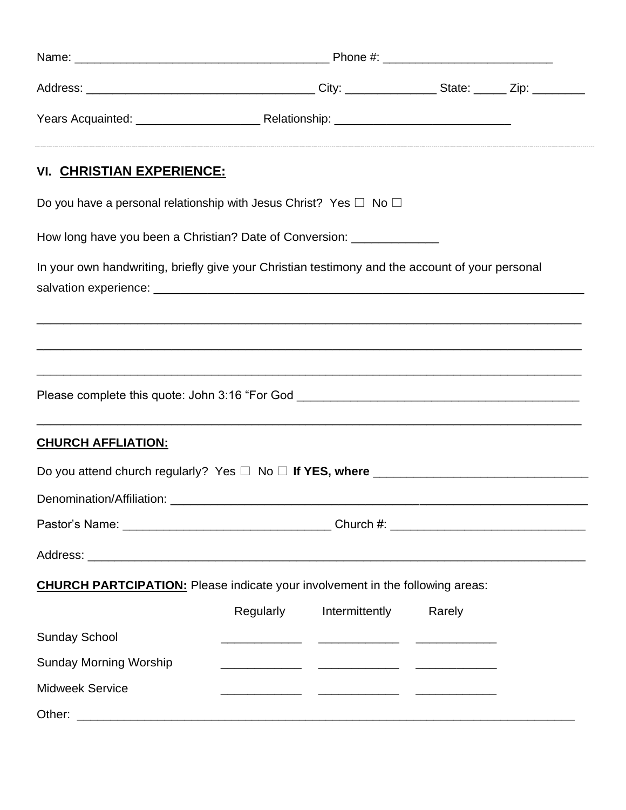| VI. CHRISTIAN EXPERIENCE:                                                                                         |           |                                                                                                                      |        |  |
|-------------------------------------------------------------------------------------------------------------------|-----------|----------------------------------------------------------------------------------------------------------------------|--------|--|
| Do you have a personal relationship with Jesus Christ? Yes $\Box$ No $\Box$                                       |           |                                                                                                                      |        |  |
| How long have you been a Christian? Date of Conversion: _______________                                           |           |                                                                                                                      |        |  |
| In your own handwriting, briefly give your Christian testimony and the account of your personal                   |           |                                                                                                                      |        |  |
| ,一个人的人都是一个人的人,我们就是一个人的人,我们就是一个人的人,我们就是一个人的人,我们就是一个人的人,我们就是一个人的人,我们就是一个人的人,我们就是一个人                                 |           |                                                                                                                      |        |  |
|                                                                                                                   |           |                                                                                                                      |        |  |
| <b>CHURCH AFFLIATION:</b>                                                                                         |           | <u> 1989 - Johann Barn, mars et al. 1989 - Anna anno 1989 - Anna ann an t-Ann ann an t-Ann an t-Ann ann an t-Ann</u> |        |  |
| Do you attend church regularly? Yes $\Box$ No $\Box$ If YES, where $\_\_\_\_\_\_\_\_\_\_\_\_\_\_\_\_\_\_\_\_\_\_$ |           |                                                                                                                      |        |  |
|                                                                                                                   |           |                                                                                                                      |        |  |
|                                                                                                                   |           |                                                                                                                      |        |  |
|                                                                                                                   |           |                                                                                                                      |        |  |
| <b>CHURCH PARTCIPATION:</b> Please indicate your involvement in the following areas:                              |           |                                                                                                                      |        |  |
|                                                                                                                   | Regularly | Intermittently                                                                                                       | Rarely |  |
| <b>Sunday School</b>                                                                                              |           |                                                                                                                      |        |  |
| <b>Sunday Morning Worship</b>                                                                                     |           |                                                                                                                      |        |  |
| <b>Midweek Service</b>                                                                                            |           |                                                                                                                      |        |  |
|                                                                                                                   |           |                                                                                                                      |        |  |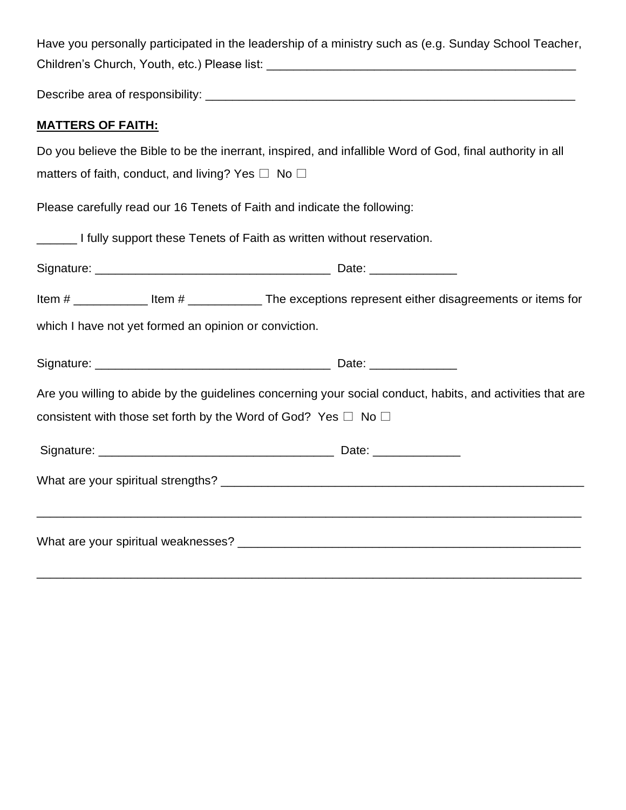Have you personally participated in the leadership of a ministry such as (e.g. Sunday School Teacher, Children's Church, Youth, etc.) Please list: \_\_\_\_\_\_\_\_\_\_\_\_\_\_\_\_\_\_\_\_\_\_\_\_\_\_\_\_\_\_\_\_\_\_\_\_\_\_\_\_\_\_\_\_\_\_

Describe area of responsibility: \_\_\_\_\_\_\_\_\_\_\_\_\_\_\_\_\_\_\_\_\_\_\_\_\_\_\_\_\_\_\_\_\_\_\_\_\_\_\_\_\_\_\_\_\_\_\_\_\_\_\_\_\_\_\_

### **MATTERS OF FAITH:**

|                                                                          | Do you believe the Bible to be the inerrant, inspired, and infallible Word of God, final authority in all   |
|--------------------------------------------------------------------------|-------------------------------------------------------------------------------------------------------------|
| matters of faith, conduct, and living? Yes $\Box$ No $\Box$              |                                                                                                             |
| Please carefully read our 16 Tenets of Faith and indicate the following: |                                                                                                             |
| I fully support these Tenets of Faith as written without reservation.    |                                                                                                             |
|                                                                          |                                                                                                             |
|                                                                          | Item # _______________ Item # __________________ The exceptions represent either disagreements or items for |
| which I have not yet formed an opinion or conviction.                    |                                                                                                             |
|                                                                          |                                                                                                             |
|                                                                          | Are you willing to abide by the guidelines concerning your social conduct, habits, and activities that are  |
| consistent with those set forth by the Word of God? Yes $\Box$ No $\Box$ |                                                                                                             |
|                                                                          |                                                                                                             |
|                                                                          |                                                                                                             |
|                                                                          |                                                                                                             |
|                                                                          |                                                                                                             |

\_\_\_\_\_\_\_\_\_\_\_\_\_\_\_\_\_\_\_\_\_\_\_\_\_\_\_\_\_\_\_\_\_\_\_\_\_\_\_\_\_\_\_\_\_\_\_\_\_\_\_\_\_\_\_\_\_\_\_\_\_\_\_\_\_\_\_\_\_\_\_\_\_\_\_\_\_\_\_\_\_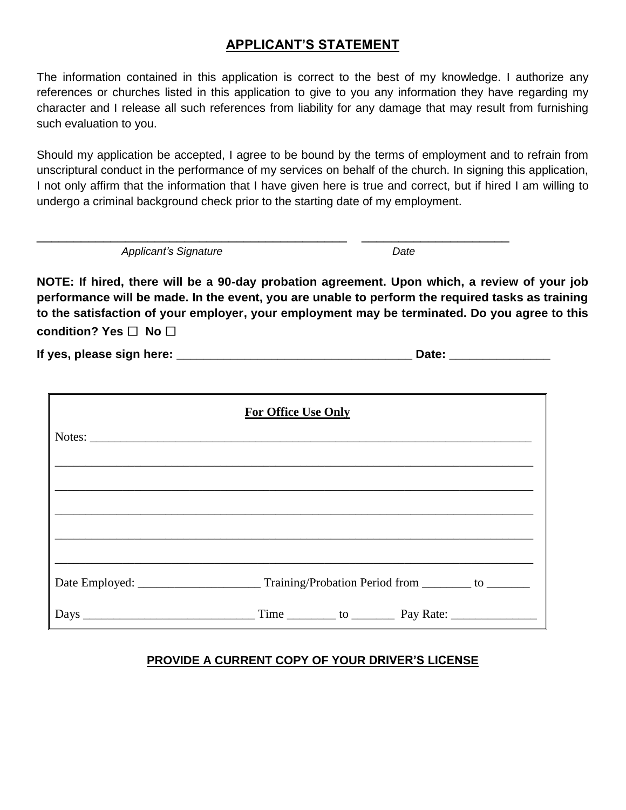### **APPLICANT'S STATEMENT**

The information contained in this application is correct to the best of my knowledge. I authorize any references or churches listed in this application to give to you any information they have regarding my character and I release all such references from liability for any damage that may result from furnishing such evaluation to you.

Should my application be accepted, I agree to be bound by the terms of employment and to refrain from unscriptural conduct in the performance of my services on behalf of the church. In signing this application, I not only affirm that the information that I have given here is true and correct, but if hired I am willing to undergo a criminal background check prior to the starting date of my employment.

Applicant's Signature **Date** Date

**NOTE: If hired, there will be a 90-day probation agreement. Upon which, a review of your job performance will be made. In the event, you are unable to perform the required tasks as training to the satisfaction of your employer, your employment may be terminated. Do you agree to this condition? Yes □ No □** 

**If yes, please sign here: \_\_\_\_\_\_\_\_\_\_\_\_\_\_\_\_\_\_\_\_\_\_\_\_\_\_\_\_\_\_\_\_\_\_\_ Date: \_\_\_\_\_\_\_\_\_\_\_\_\_\_\_**

\_\_\_\_\_\_\_\_\_\_\_\_\_\_\_\_\_\_\_\_\_\_\_\_\_\_\_\_\_\_\_\_\_\_\_\_\_\_\_\_\_\_ \_\_\_\_\_\_\_\_\_\_\_\_\_\_\_\_\_\_\_\_

| <b>For Office Use Only</b> |
|----------------------------|
|                            |
|                            |
|                            |
|                            |
|                            |
|                            |
|                            |

#### **PROVIDE A CURRENT COPY OF YOUR DRIVER'S LICENSE**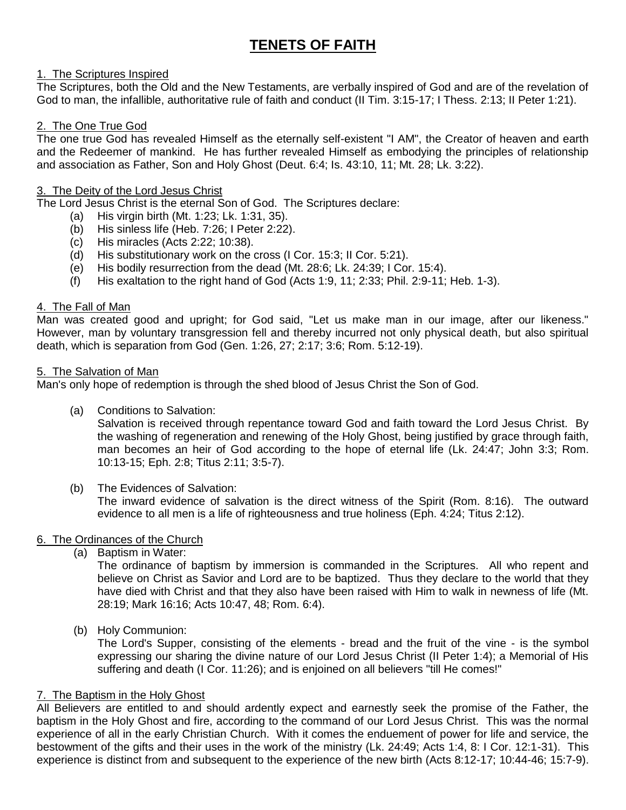## **TENETS OF FAITH**

#### 1. The Scriptures Inspired

The Scriptures, both the Old and the New Testaments, are verbally inspired of God and are of the revelation of God to man, the infallible, authoritative rule of faith and conduct (II Tim. 3:15-17; I Thess. 2:13; II Peter 1:21).

#### 2. The One True God

The one true God has revealed Himself as the eternally self-existent "I AM", the Creator of heaven and earth and the Redeemer of mankind. He has further revealed Himself as embodying the principles of relationship and association as Father, Son and Holy Ghost (Deut. 6:4; Is. 43:10, 11; Mt. 28; Lk. 3:22).

#### 3. The Deity of the Lord Jesus Christ

The Lord Jesus Christ is the eternal Son of God. The Scriptures declare:

- (a) His virgin birth (Mt. 1:23; Lk. 1:31, 35).
- (b) His sinless life (Heb. 7:26; I Peter 2:22).
- (c) His miracles (Acts 2:22; 10:38).
- (d) His substitutionary work on the cross (I Cor. 15:3; II Cor. 5:21).
- (e) His bodily resurrection from the dead (Mt. 28:6; Lk. 24:39; I Cor. 15:4).
- (f) His exaltation to the right hand of God (Acts 1:9, 11; 2:33; Phil. 2:9-11; Heb. 1-3).

#### 4. The Fall of Man

Man was created good and upright; for God said, "Let us make man in our image, after our likeness." However, man by voluntary transgression fell and thereby incurred not only physical death, but also spiritual death, which is separation from God (Gen. 1:26, 27; 2:17; 3:6; Rom. 5:12-19).

#### 5. The Salvation of Man

Man's only hope of redemption is through the shed blood of Jesus Christ the Son of God.

(a) Conditions to Salvation:

Salvation is received through repentance toward God and faith toward the Lord Jesus Christ. By the washing of regeneration and renewing of the Holy Ghost, being justified by grace through faith, man becomes an heir of God according to the hope of eternal life (Lk. 24:47; John 3:3; Rom. 10:13-15; Eph. 2:8; Titus 2:11; 3:5-7).

(b) The Evidences of Salvation:

The inward evidence of salvation is the direct witness of the Spirit (Rom. 8:16). The outward evidence to all men is a life of righteousness and true holiness (Eph. 4:24; Titus 2:12).

#### 6. The Ordinances of the Church

(a) Baptism in Water:

The ordinance of baptism by immersion is commanded in the Scriptures. All who repent and believe on Christ as Savior and Lord are to be baptized. Thus they declare to the world that they have died with Christ and that they also have been raised with Him to walk in newness of life (Mt. 28:19; Mark 16:16; Acts 10:47, 48; Rom. 6:4).

(b) Holy Communion:

The Lord's Supper, consisting of the elements - bread and the fruit of the vine - is the symbol expressing our sharing the divine nature of our Lord Jesus Christ (II Peter 1:4); a Memorial of His suffering and death (I Cor. 11:26); and is enjoined on all believers "till He comes!"

#### 7. The Baptism in the Holy Ghost

All Believers are entitled to and should ardently expect and earnestly seek the promise of the Father, the baptism in the Holy Ghost and fire, according to the command of our Lord Jesus Christ. This was the normal experience of all in the early Christian Church. With it comes the enduement of power for life and service, the bestowment of the gifts and their uses in the work of the ministry (Lk. 24:49; Acts 1:4, 8: I Cor. 12:1-31). This experience is distinct from and subsequent to the experience of the new birth (Acts 8:12-17; 10:44-46; 15:7-9).